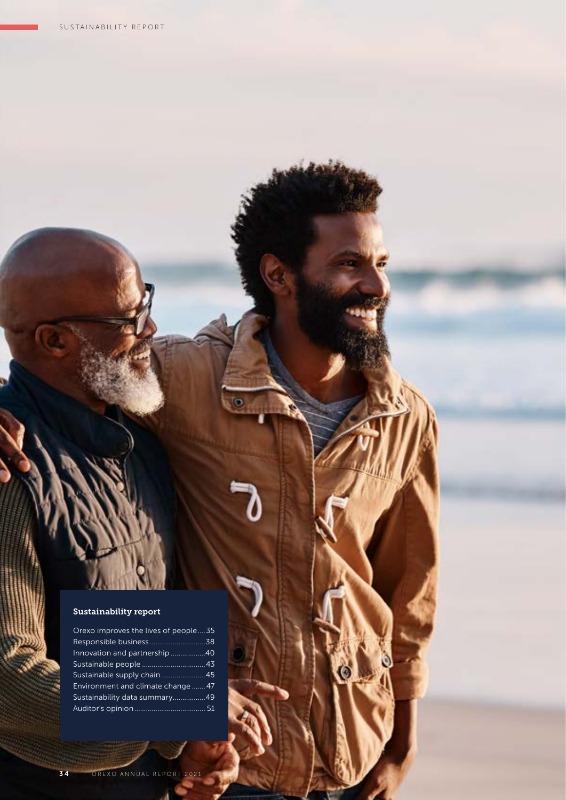### Sustainability report

| Orexo improves the lives of people35 |  |
|--------------------------------------|--|
| Responsible business38               |  |
| Innovation and partnership 40        |  |
|                                      |  |
| Sustainable supply chain45           |  |
| Environment and climate change  47   |  |
| Sustainability data summary49        |  |
|                                      |  |

3 4 OREXO ANNUAL REPORT 2021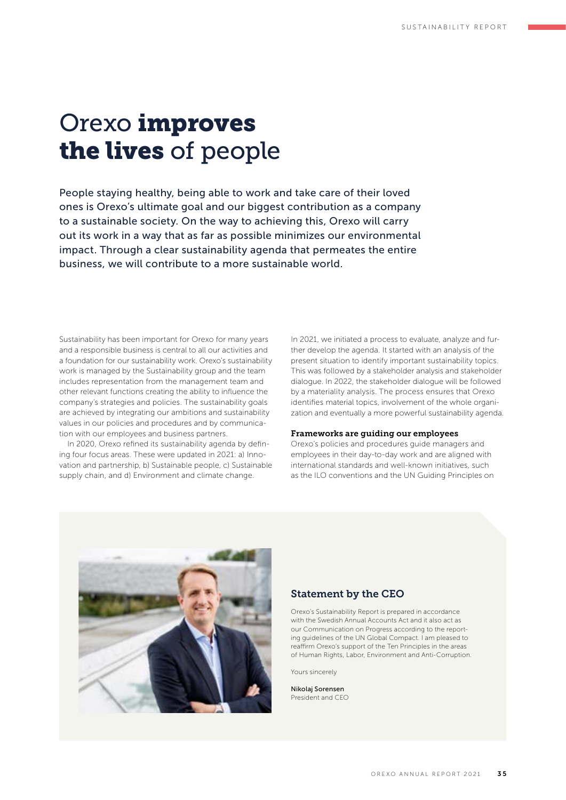## Orexo improves the lives of people

People staying healthy, being able to work and take care of their loved ones is Orexo's ultimate goal and our biggest contribution as a company to a sustainable society. On the way to achieving this, Orexo will carry out its work in a way that as far as possible minimizes our environmental impact. Through a clear sustainability agenda that permeates the entire business, we will contribute to a more sustainable world.

Sustainability has been important for Orexo for many years and a responsible business is central to all our activities and a foundation for our sustainability work. Orexo's sustainability work is managed by the Sustainability group and the team includes representation from the management team and other relevant functions creating the ability to influence the company's strategies and policies. The sustainability goals are achieved by integrating our ambitions and sustainability values in our policies and procedures and by communication with our employees and business partners.

In 2020, Orexo refined its sustainability agenda by defining four focus areas. These were updated in 2021: a) Innovation and partnership, b) Sustainable people, c) Sustainable supply chain, and d) Environment and climate change.

In 2021, we initiated a process to evaluate, analyze and further develop the agenda. It started with an analysis of the present situation to identify important sustainability topics. This was followed by a stakeholder analysis and stakeholder dialogue. In 2022, the stakeholder dialogue will be followed by a materiality analysis. The process ensures that Orexo identifies material topics, involvement of the whole organization and eventually a more powerful sustainability agenda.

#### Frameworks are guiding our employees

Orexo's policies and procedures guide managers and employees in their day-to-day work and are aligned with international standards and well-known initiatives, such as the ILO conventions and the UN Guiding Principles on



#### Statement by the CEO

Orexo's Sustainability Report is prepared in accordance with the Swedish Annual Accounts Act and it also act as our Communication on Progress according to the reporting guidelines of the UN Global Compact. I am pleased to reaffirm Orexo's support of the Ten Principles in the areas of Human Rights, Labor, Environment and Anti-Corruption.

Yours sincerely

Nikolaj Sorensen President and CEO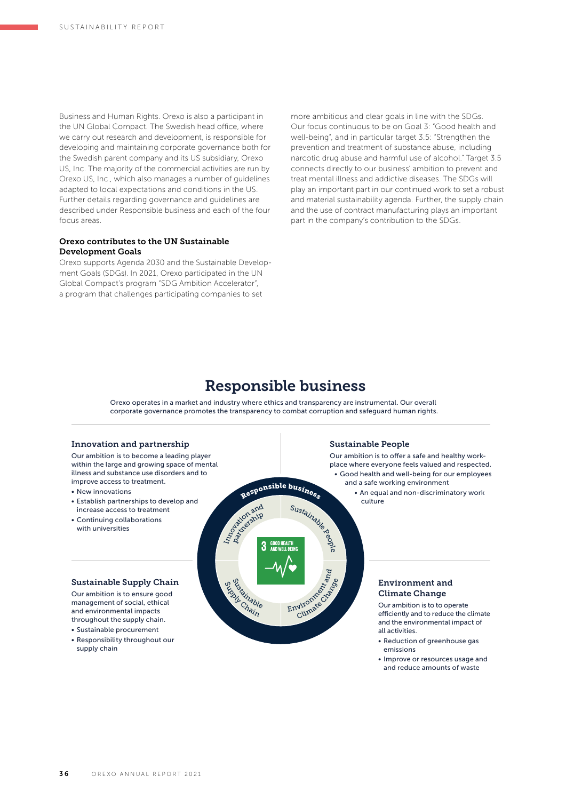Business and Human Rights. Orexo is also a participant in the UN Global Compact. The Swedish head office, where we carry out research and development, is responsible for developing and maintaining corporate governance both for the Swedish parent company and its US subsidiary, Orexo US, Inc. The majority of the commercial activities are run by Orexo US, Inc., which also manages a number of guidelines adapted to local expectations and conditions in the US. Further details regarding governance and guidelines are described under Responsible business and each of the four focus areas.

#### Orexo contributes to the UN Sustainable Development Goals

Orexo supports Agenda 2030 and the Sustainable Development Goals (SDGs). In 2021, Orexo participated in the UN Global Compact's program "SDG Ambition Accelerator", a program that challenges participating companies to set

more ambitious and clear goals in line with the SDGs. Our focus continuous to be on Goal 3: "Good health and well-being", and in particular target 3.5: "Strengthen the prevention and treatment of substance abuse, including narcotic drug abuse and harmful use of alcohol." Target 3.5 connects directly to our business' ambition to prevent and treat mental illness and addictive diseases. The SDGs will play an important part in our continued work to set a robust and material sustainability agenda. Further, the supply chain and the use of contract manufacturing plays an important part in the company's contribution to the SDGs.

## Responsible business

Orexo operates in a market and industry where ethics and transparency are instrumental. Our overall corporate governance promotes the transparency to combat corruption and safeguard human rights.

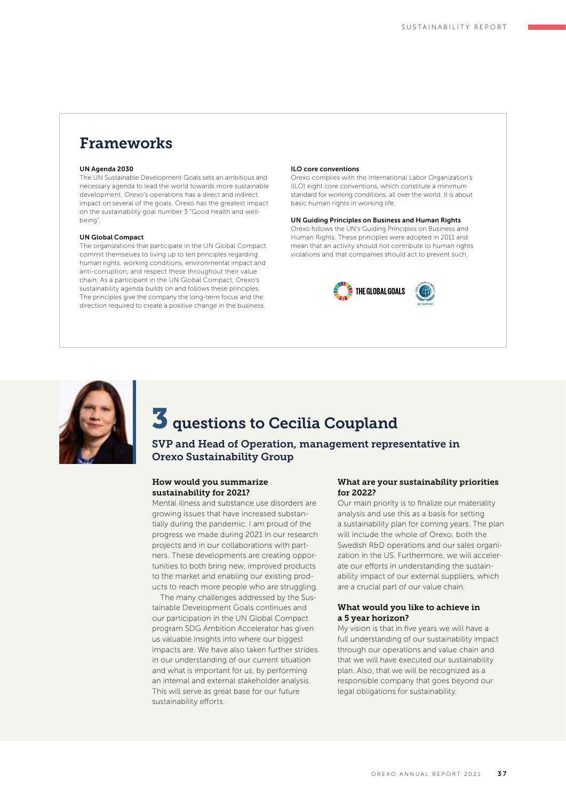## Frameworks

#### UN Agenda 2030

The UN Sustainable Development Goals sets an ambitious and necessary agenda to lead the world towards more sustainable development. Orexo's operations has a direct and indirect impact on several of the goals. Orexo has the greatest impact on the sustainability goal number 3 "Good health and wellbeing".

#### UN Global Compact

The organizations that participate in the UN Global Compact commit themselves to living up to ten principles regarding human rights, working conditions, environmental impact and anti-corruption, and respect these throughout their value chain. As a participant in the UN Global Compact, Orexo's sustainability agenda builds on and follows these principles. The principles give the company the long-term focus and the direction required to create a positive change in the business.

#### ILO core conventions

Orexo complies with the International Labor Organization's (ILO) eight core conventions, which constitute a minimum standard for working conditions, all over the world. It is about basic human rights in working life.

#### UN Guiding Principles on Business and Human Rights

Orexo follows the UN's Guiding Principles on Business and Human Rights. These principles were adopted in 2011 and mean that an activity should not contribute to human rights violations and that companies should act to prevent such.





## $\overline{\mathbf{3}}$  questions to Cecilia Coupland

### SVP and Head of Operation, management representative in Orexo Sustainability Group

#### How would you summarize sustainability for 2021?

Mental illness and substance use disorders are growing issues that have increased substantially during the pandemic. I am proud of the progress we made during 2021 in our research projects and in our collaborations with partners. These developments are creating opportunities to both bring new, improved products to the market and enabling our existing products to reach more people who are struggling.

The many challenges addressed by the Sustainable Development Goals continues and our participation in the UN Global Compact program SDG Ambition Accelerator has given us valuable insights into where our biggest impacts are. We have also taken further strides in our understanding of our current situation and what is important for us, by performing an internal and external stakeholder analysis. This will serve as great base for our future sustainability efforts.

#### What are your sustainability priorities for 2022?

Our main priority is to finalize our materiality analysis and use this as a basis for setting a sustainability plan for coming years. The plan will include the whole of Orexo, both the Swedish R&D operations and our sales organization in the US. Furthermore, we will accelerate our efforts in understanding the sustainability impact of our external suppliers, which are a crucial part of our value chain.

#### What would you like to achieve in a 5 year horizon?

My vision is that in five years we will have a full understanding of our sustainability impact through our operations and value chain and that we will have executed our sustainability plan. Also, that we will be recognized as a responsible company that goes beyond our legal obligations for sustainability.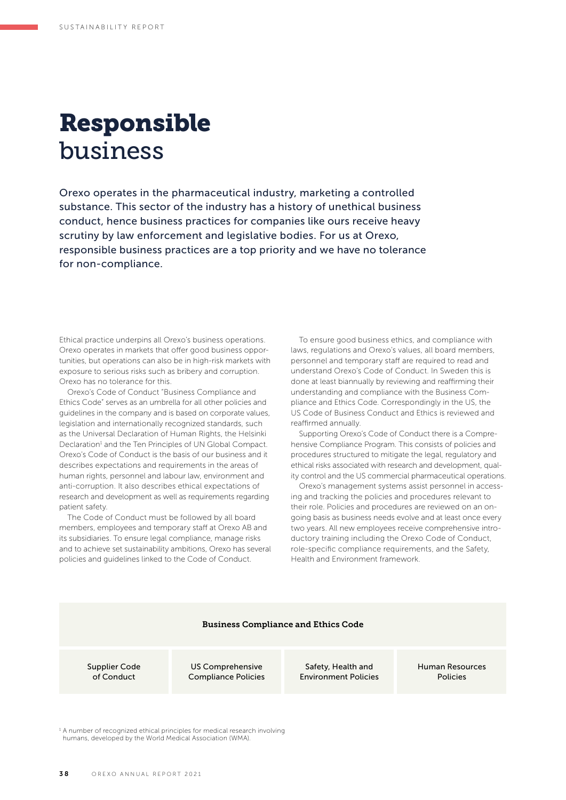## Responsible business

Orexo operates in the pharmaceutical industry, marketing a controlled substance. This sector of the industry has a history of unethical business conduct, hence business practices for companies like ours receive heavy scrutiny by law enforcement and legislative bodies. For us at Orexo, responsible business practices are a top priority and we have no tolerance for non-compliance.

Ethical practice underpins all Orexo's business operations. Orexo operates in markets that offer good business opportunities, but operations can also be in high-risk markets with exposure to serious risks such as bribery and corruption. Orexo has no tolerance for this.

Orexo's Code of Conduct "Business Compliance and Ethics Code" serves as an umbrella for all other policies and guidelines in the company and is based on corporate values, legislation and internationally recognized standards, such as the Universal Declaration of Human Rights, the Helsinki Declaration<sup>1</sup> and the Ten Principles of UN Global Compact. Orexo's Code of Conduct is the basis of our business and it describes expectations and requirements in the areas of human rights, personnel and labour law, environment and anti-corruption. It also describes ethical expectations of research and development as well as requirements regarding patient safety.

The Code of Conduct must be followed by all board members, employees and temporary staff at Orexo AB and its subsidiaries. To ensure legal compliance, manage risks and to achieve set sustainability ambitions, Orexo has several policies and guidelines linked to the Code of Conduct.

To ensure good business ethics, and compliance with laws, regulations and Orexo's values, all board members, personnel and temporary staff are required to read and understand Orexo's Code of Conduct. In Sweden this is done at least biannually by reviewing and reaffirming their understanding and compliance with the Business Compliance and Ethics Code. Correspondingly in the US, the US Code of Business Conduct and Ethics is reviewed and reaffirmed annually.

Supporting Orexo's Code of Conduct there is a Comprehensive Compliance Program. This consists of policies and procedures structured to mitigate the legal, regulatory and ethical risks associated with research and development, quality control and the US commercial pharmaceutical operations.

Orexo's management systems assist personnel in accessing and tracking the policies and procedures relevant to their role. Policies and procedures are reviewed on an ongoing basis as business needs evolve and at least once every two years. All new employees receive comprehensive introductory training including the Orexo Code of Conduct, role- specific compliance requirements, and the Safety, Health and Environment framework.

#### Business Compliance and Ethics Code

Supplier Code of Conduct

US Comprehensive Compliance Policies

Safety, Health and Environment Policies Human Resources Policies

<sup>1</sup> A number of recognized ethical principles for medical research involving humans, developed by the World Medical Association (WMA).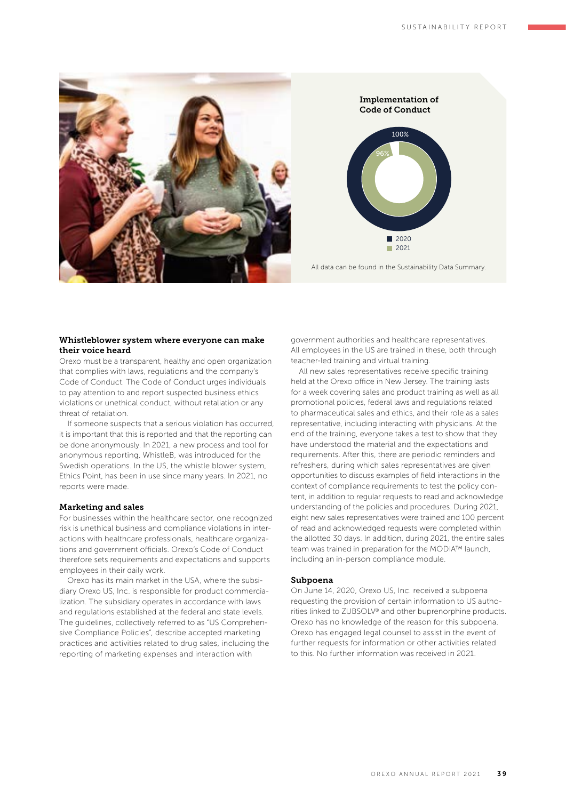

Implementation of Code of Conduct



All data can be found in the Sustainability Data Summary.

#### Whistleblower system where everyone can make their voice heard

Orexo must be a transparent, healthy and open organization that complies with laws, regulations and the company's Code of Conduct. The Code of Conduct urges individuals to pay attention to and report suspected business ethics violations or unethical conduct, without retaliation or any threat of retaliation.

If someone suspects that a serious violation has occurred, it is important that this is reported and that the reporting can be done anonymously. In 2021, a new process and tool for anonymous reporting, WhistleB, was introduced for the Swedish operations. In the US, the whistle blower system, Ethics Point, has been in use since many years. In 2021, no reports were made.

#### Marketing and sales

For businesses within the healthcare sector, one recognized risk is unethical business and compliance violations in interactions with healthcare professionals, healthcare organizations and government officials. Orexo's Code of Conduct therefore sets requirements and expectations and supports employees in their daily work.

Orexo has its main market in the USA, where the subsidiary Orexo US, Inc. is responsible for product commercialization. The subsidiary operates in accordance with laws and regulations established at the federal and state levels. The guidelines, collectively referred to as "US Comprehensive Compliance Policies", describe accepted marketing practices and activities related to drug sales, including the reporting of marketing expenses and interaction with

government authorities and healthcare representatives. All employees in the US are trained in these, both through teacher-led training and virtual training.

All new sales representatives receive specific training held at the Orexo office in New Jersey. The training lasts for a week covering sales and product training as well as all promotional policies, federal laws and regulations related to pharmaceutical sales and ethics, and their role as a sales representative, including interacting with physicians. At the end of the training, everyone takes a test to show that they have understood the material and the expectations and requirements. After this, there are periodic reminders and refreshers, during which sales representatives are given opportunities to discuss examples of field interactions in the context of compliance requirements to test the policy content, in addition to regular requests to read and acknowledge understanding of the policies and procedures. During 2021, eight new sales representatives were trained and 100 percent of read and acknowledged requests were completed within the allotted 30 days. In addition, during 2021, the entire sales team was trained in preparation for the MODIA™ launch. including an in-person compliance module.

#### Subpoena

On June 14, 2020, Orexo US, Inc. received a subpoena requesting the provision of certain information to US authorities linked to ZUBSOLV® and other buprenorphine products. Orexo has no knowledge of the reason for this subpoena. Orexo has engaged legal counsel to assist in the event of further requests for information or other activities related to this. No further information was received in 2021.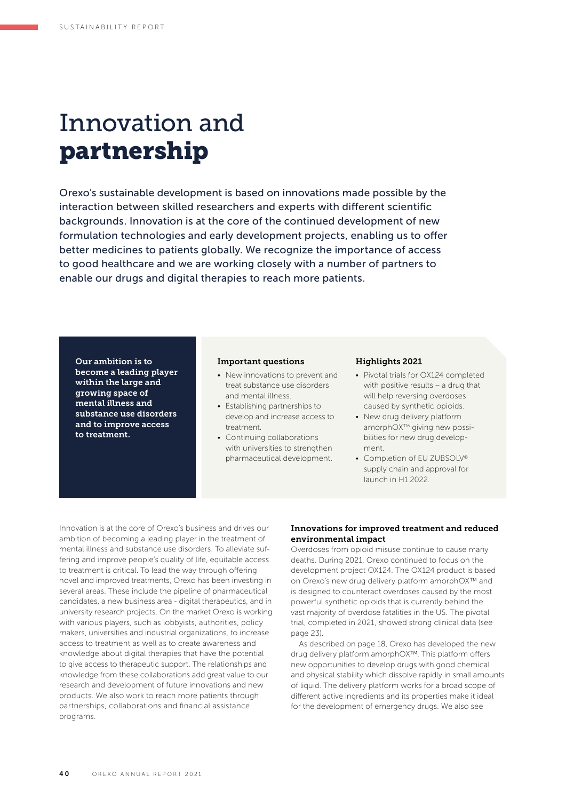## Innovation and partnership

Orexo's sustainable development is based on innovations made possible by the interaction between skilled researchers and experts with different scientific backgrounds. Innovation is at the core of the continued development of new formulation technologies and early development projects, enabling us to offer better medicines to patients globally. We recognize the importance of access to good healthcare and we are working closely with a number of partners to enable our drugs and digital therapies to reach more patients.

Our ambition is to become a leading player within the large and growing space of mental illness and substance use disorders and to improve access to treatment.

#### Important questions

- New innovations to prevent and treat substance use disorders and mental illness.
- Establishing partnerships to develop and increase access to treatment.
- Continuing collaborations with universities to strengthen pharmaceutical development.

#### Highlights 2021

- Pivotal trials for OX124 completed with positive results – a drug that will help reversing overdoses caused by synthetic opioids.
- New drug delivery platform amorphOX<sup>™</sup> giving new possibilities for new drug development.
- Completion of EU ZUBSOLV® supply chain and approval for launch in H1 2022.

Innovation is at the core of Orexo's business and drives our ambition of becoming a leading player in the treatment of mental illness and substance use disorders. To alleviate suffering and improve people's quality of life, equitable access to treatment is critical. To lead the way through offering novel and improved treatments, Orexo has been investing in several areas. These include the pipeline of pharmaceutical candidates, a new business area - digital therapeutics, and in university research projects. On the market Orexo is working with various players, such as lobbyists, authorities, policy makers, universities and industrial organizations, to increase access to treatment as well as to create awareness and knowledge about digital therapies that have the potential to give access to therapeutic support. The relationships and knowledge from these collaborations add great value to our research and development of future innovations and new products. We also work to reach more patients through partnerships, collaborations and financial assistance programs.

#### Innovations for improved treatment and reduced environmental impact

Overdoses from opioid misuse continue to cause many deaths. During 2021, Orexo continued to focus on the development project OX124. The OX124 product is based on Orexo's new drug delivery platform amorphOX™ and is designed to counteract overdoses caused by the most powerful synthetic opioids that is currently behind the vast majority of overdose fatalities in the US. The pivotal trial, completed in 2021, showed strong clinical data (see page 23)

As described on page 18, Orexo has developed the new drug delivery platform amorphOX™. This platform offers new opportunities to develop drugs with good chemical and physical stability which dissolve rapidly in small amounts of liquid. The delivery platform works for a broad scope of different active ingredients and its properties make it ideal for the development of emergency drugs. We also see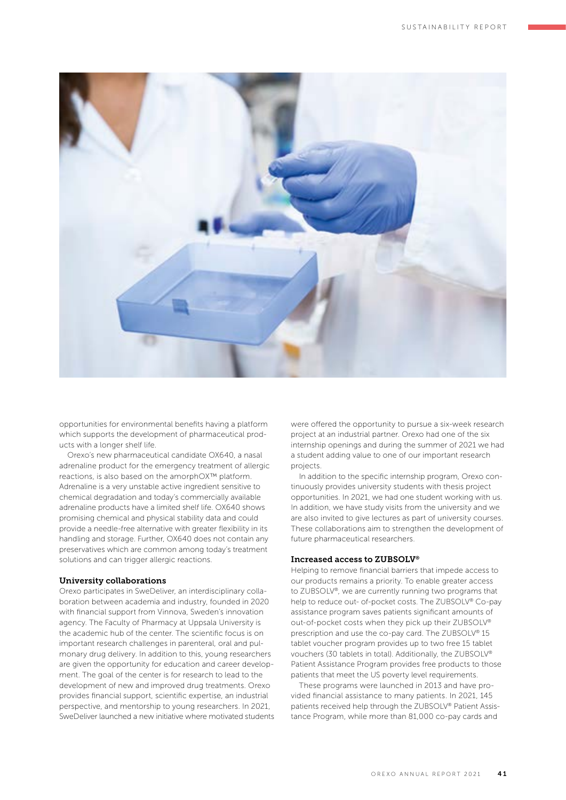

opportunities for environmental benefits having a platform which supports the development of pharmaceutical products with a longer shelf life.

Orexo's new pharmaceutical candidate OX640, a nasal adrenaline product for the emergency treatment of allergic reactions, is also based on the amorphOX™ platform. Adrenaline is a very unstable active ingredient sensitive to chemical degradation and today's commercially available adrenaline products have a limited shelf life. OX640 shows promising chemical and physical stability data and could provide a needle-free alternative with greater flexibility in its handling and storage. Further, OX640 does not contain any preservatives which are common among today's treatment solutions and can trigger allergic reactions.

#### University collaborations

Orexo participates in SweDeliver, an interdisciplinary collaboration between academia and industry, founded in 2020 with financial support from Vinnova, Sweden's innovation agency. The Faculty of Pharmacy at Uppsala University is the academic hub of the center. The scientific focus is on important research challenges in parenteral, oral and pulmonary drug delivery. In addition to this, young researchers are given the opportunity for education and career development. The goal of the center is for research to lead to the development of new and improved drug treatments. Orexo provides financial support, scientific expertise, an industrial perspective, and mentorship to young researchers. In 2021, SweDeliver launched a new initiative where motivated students

were offered the opportunity to pursue a six-week research project at an industrial partner. Orexo had one of the six internship openings and during the summer of 2021 we had a student adding value to one of our important research projects.

In addition to the specific internship program, Orexo continuously provides university students with thesis project opportunities. In 2021, we had one student working with us. In addition, we have study visits from the university and we are also invited to give lectures as part of university courses. These collaborations aim to strengthen the development of future pharmaceutical researchers.

#### Increased access to ZUBSOLV®

Helping to remove financial barriers that impede access to our products remains a priority. To enable greater access to ZUBSOLV®, we are currently running two programs that help to reduce out- of-pocket costs. The ZUBSOLV® Co-pay assistance program saves patients significant amounts of out-of-pocket costs when they pick up their ZUBSOLV® prescription and use the co-pay card. The ZUBSOLV® 15 tablet voucher program provides up to two free 15 tablet vouchers (30 tablets in total). Additionally, the ZUBSOLV® Patient Assistance Program provides free products to those patients that meet the US poverty level requirements.

These programs were launched in 2013 and have provided financial assistance to many patients. In 2021, 145 patients received help through the ZUBSOLV® Patient Assistance Program, while more than 81,000 co-pay cards and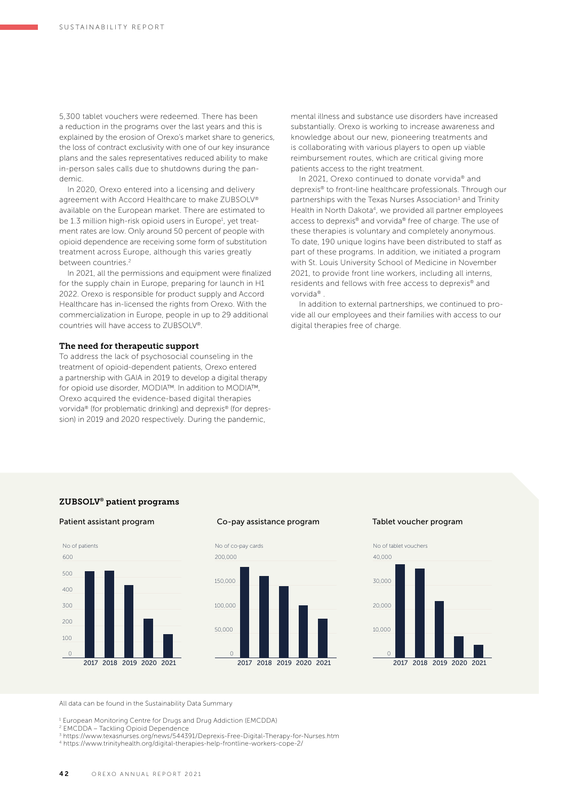5,300 tablet vouchers were redeemed. There has been a reduction in the programs over the last years and this is explained by the erosion of Orexo's market share to generics, the loss of contract exclusivity with one of our key insurance plans and the sales representatives reduced ability to make in-person sales calls due to shutdowns during the pandemic.

In 2020, Orexo entered into a licensing and delivery agreement with Accord Healthcare to make ZUBSOLV® available on the European market. There are estimated to be 1.3 million high-risk opioid users in Europe<sup>1</sup>, yet treatment rates are low. Only around 50 percent of people with opioid dependence are receiving some form of substitution treatment across Europe, although this varies greatly between countries.2

In 2021, all the permissions and equipment were finalized for the supply chain in Europe, preparing for launch in H1 2022. Orexo is responsible for product supply and Accord Healthcare has in-licensed the rights from Orexo. With the commercialization in Europe, people in up to 29 additional countries will have access to ZUBSOLV®.

#### The need for therapeutic support

To address the lack of psychosocial counseling in the treatment of opioid-dependent patients, Orexo entered a partnership with GAIA in 2019 to develop a digital therapy for opioid use disorder, MODIA™. In addition to MODIA™, Orexo acquired the evidence-based digital therapies vorvida® (for problematic drinking) and deprexis® (for depression) in 2019 and 2020 respectively. During the pandemic,

mental illness and substance use disorders have increased substantially. Orexo is working to increase awareness and knowledge about our new, pioneering treatments and is collaborating with various players to open up viable reimbursement routes, which are critical giving more patients access to the right treatment.

In 2021, Orexo continued to donate vorvida® and deprexis® to front-line healthcare professionals. Through our partnerships with the Texas Nurses Association<sup>3</sup> and Trinity Health in North Dakota<sup>4</sup>, we provided all partner employees access to deprexis® and vorvida® free of charge. The use of these therapies is voluntary and completely anonymous. To date, 190 unique logins have been distributed to staff as part of these programs. In addition, we initiated a program with St. Louis University School of Medicine in November 2021, to provide front line workers, including all interns, residents and fellows with free access to deprexis® and vorvida® .

In addition to external partnerships, we continued to provide all our employees and their families with access to our digital therapies free of charge.

### ZUBSOLV® patient programs





#### Co-pay assistance program Tablet voucher program





All data can be found in the Sustainability Data Summary

<sup>1</sup> European Monitoring Centre for Drugs and Drug Addiction (EMCDDA)

2 EMCDDA – Tackling Opioid Dependence

<sup>3</sup> https://www.texasnurses.org/news/544391/Deprexis-Free- Digital-Therapy-for-Nurses.htm 4 https://www.trinityhealth.org/digital-therapies-help-frontline- workers-cope-2/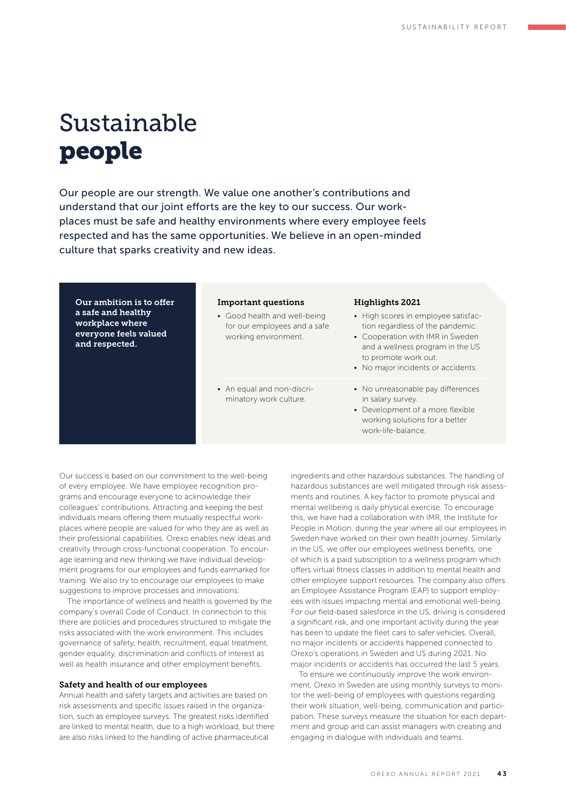# Sustainable people

Our people are our strength. We value one another's contributions and understand that our joint efforts are the key to our success. Our workplaces must be safe and healthy environments where every employee feels respected and has the same opportunities. We believe in an open-minded culture that sparks creativity and new ideas.

Our ambition is to offer a safe and healthy workplace where everyone feels valued and respected.

#### Important questions

- Good health and well-being for our employees and a safe working environment.
- An equal and non-discriminatory work culture.

#### Highlights 2021

- High scores in employee satisfaction regardless of the pandemic.
- Cooperation with IMR in Sweden and a wellness program in the US to promote work out.
- No major incidents or accidents.
- No unreasonable pay differences in salary survey.
- Development of a more flexible working solutions for a better work-life-balance.

Our success is based on our commitment to the well-being of every employee. We have employee recognition programs and encourage everyone to acknowledge their colleagues' contributions. Attracting and keeping the best individuals means offering them mutually respectful workplaces where people are valued for who they are as well as their professional capabilities. Orexo enables new ideas and creativity through cross-functional cooperation. To encourage learning and new thinking we have individual development programs for our employees and funds earmarked for training. We also try to encourage our employees to make suggestions to improve processes and innovations.

The importance of wellness and health is governed by the company's overall Code of Conduct. In connection to this there are policies and procedures structured to mitigate the risks associated with the work environment. This includes governance of safety, health, recruitment, equal treatment, gender equality, discrimination and conflicts of interest as well as health insurance and other employment benefits.

#### Safety and health of our employees

Annual health and safety targets and activities are based on risk assessments and specific issues raised in the organization, such as employee surveys. The greatest risks identified are linked to mental health, due to a high workload, but there are also risks linked to the handling of active pharmaceutical

ingredients and other hazardous substances. The handling of hazardous substances are well mitigated through risk assessments and routines. A key factor to promote physical and mental wellbeing is daily physical exercise. To encourage this, we have had a collaboration with IMR, the Institute for People in Motion, during the year where all our employees in Sweden have worked on their own health journey. Similarly in the US, we offer our employees wellness benefits, one of which is a paid subscription to a wellness program which offers virtual fitness classes in addition to mental health and other employee support resources. The company also offers an Employee Assistance Program (EAP) to support employees with issues impacting mental and emotional well-being. For our field-based salesforce in the US, driving is considered a significant risk, and one important activity during the year has been to update the fleet cars to safer vehicles. Overall, no major incidents or accidents happened connected to Orexo's operations in Sweden and US during 2021. No major incidents or accidents has occurred the last 5 years.

To ensure we continuously improve the work environment, Orexo in Sweden are using monthly surveys to monitor the well-being of employees with questions regarding their work situation, well-being, communication and participation. These surveys measure the situation for each department and group and can assist managers with creating and engaging in dialogue with individuals and teams.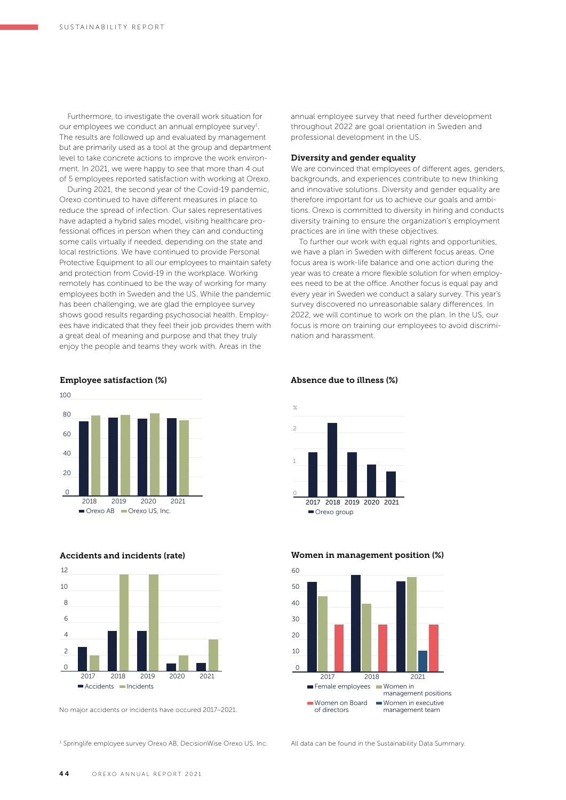Furthermore, to investigate the overall work situation for our employees we conduct an annual employee survey<sup>1</sup>. The results are followed up and evaluated by management but are primarily used as a tool at the group and department level to take concrete actions to improve the work environment. In 2021, we were happy to see that more than 4 out of 5 employees reported satisfaction with working at Orexo.

During 2021, the second year of the Covid-19 pandemic, Orexo continued to have different measures in place to reduce the spread of infection. Our sales representatives have adapted a hybrid sales model, visiting healthcare professional offices in person when they can and conducting some calls virtually if needed, depending on the state and local restrictions. We have continued to provide Personal Protective Equipment to all our employees to maintain safety and protection from Covid-19 in the workplace. Working remotely has continued to be the way of working for many employees both in Sweden and the US. While the pandemic has been challenging, we are glad the employee survey shows good results regarding psychosocial health. Employees have indicated that they feel their job provides them with a great deal of meaning and purpose and that they truly enjoy the people and teams they work with. Areas in the

 $\Omega$  $20$ 40  $60$ 80  $100$ 2018 2019 2020 2021 Orexo AB **Orexo US**, Inc.

Employee satisfaction (%)

Accidents and incidents (rate)



No major accidents or incidents have occured 2017–2021.

<sup>1</sup> Springlife employee survey Orexo AB, DecisionWise Orexo US, Inc.

#### annual employee survey that need further development throughout 2022 are goal orientation in Sweden and professional development in the US.

#### Diversity and gender equality

We are convinced that employees of different ages, genders, backgrounds, and experiences contribute to new thinking and innovative solutions. Diversity and gender equality are therefore important for us to achieve our goals and ambitions. Orexo is committed to diversity in hiring and conducts diversity training to ensure the organization's employment practices are in line with these objectives.

To further our work with equal rights and opportunities, we have a plan in Sweden with different focus areas. One focus area is work-life balance and one action during the year was to create a more flexible solution for when employees need to be at the office. Another focus is equal pay and every year in Sweden we conduct a salary survey. This year's survey discovered no unreasonable salary differences. In 2022, we will continue to work on the plan. In the US, our focus is more on training our employees to avoid discrimination and harassment.

#### Absence due to illness (%)



0 10 20 30  $40$ 50 60 2017 2018 2021 Female employees Women in management positions Women on Board of directors Women in executive management team

#### Women in management position (%)

All data can be found in the Sustainability Data Summary.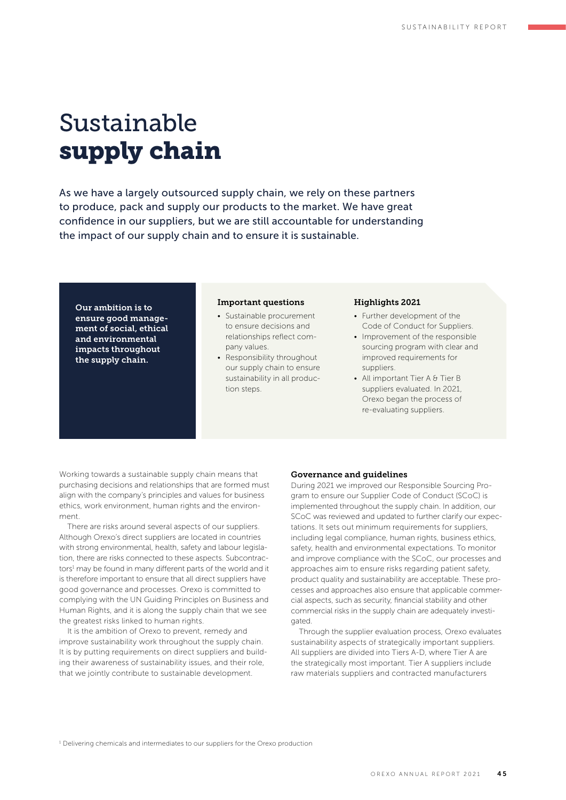## Sustainable supply chain

As we have a largely outsourced supply chain, we rely on these partners to produce, pack and supply our products to the market. We have great confidence in our suppliers, but we are still accountable for understanding the impact of our supply chain and to ensure it is sustainable.

Our ambition is to ensure good management of social, ethical and environmental impacts throughout the supply chain.

#### Important questions

- Sustainable procurement to ensure decisions and relationships reflect company values.
- Responsibility throughout our supply chain to ensure sustainability in all production steps.

#### Highlights 2021

- Further development of the Code of Conduct for Suppliers.
- Improvement of the responsible sourcing program with clear and improved requirements for suppliers.
- All important Tier A & Tier B suppliers evaluated. In 2021, Orexo began the process of re-evaluating suppliers.

Working towards a sustainable supply chain means that purchasing decisions and relationships that are formed must align with the company's principles and values for business ethics, work environment, human rights and the environment.

There are risks around several aspects of our suppliers. Although Orexo's direct suppliers are located in countries with strong environmental, health, safety and labour legislation, there are risks connected to these aspects. Subcontractors<sup>1</sup> may be found in many different parts of the world and it is therefore important to ensure that all direct suppliers have good governance and processes. Orexo is committed to complying with the UN Guiding Principles on Business and Human Rights, and it is along the supply chain that we see the greatest risks linked to human rights.

It is the ambition of Orexo to prevent, remedy and improve sustainability work throughout the supply chain. It is by putting requirements on direct suppliers and building their awareness of sustainability issues, and their role, that we jointly contribute to sustainable development.

#### Governance and guidelines

During 2021 we improved our Responsible Sourcing Program to ensure our Supplier Code of Conduct (SCoC) is implemented throughout the supply chain. In addition, our SCoC was reviewed and updated to further clarify our expectations. It sets out minimum requirements for suppliers, including legal compliance, human rights, business ethics, safety, health and environmental expectations. To monitor and improve compliance with the SCoC, our processes and approaches aim to ensure risks regarding patient safety, product quality and sustainability are acceptable. These processes and approaches also ensure that applicable commercial aspects, such as security, financial stability and other commercial risks in the supply chain are adequately investiheten

Through the supplier evaluation process, Orexo evaluates sustainability aspects of strategically important suppliers. All suppliers are divided into Tiers A-D, where Tier A are the strategically most important. Tier A suppliers include raw materials suppliers and contracted manufacturers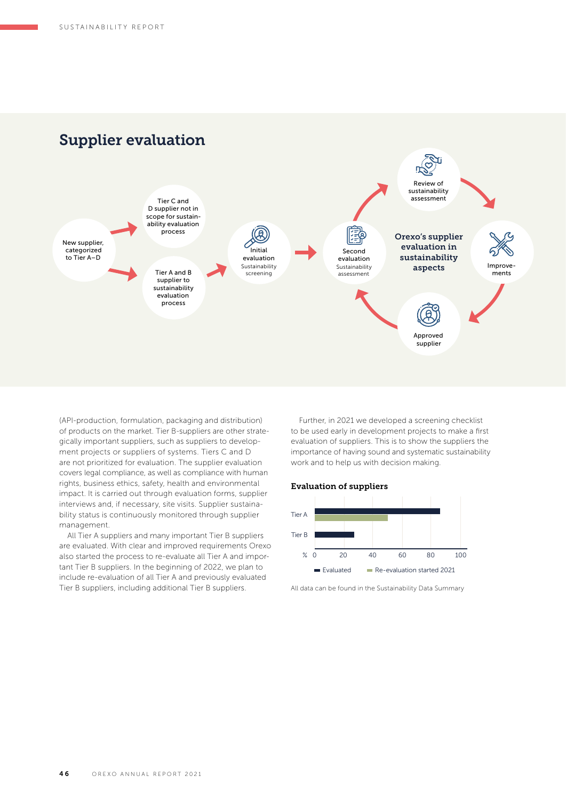

(API- production, formulation, packaging and distribution) of products on the market. Tier B-suppliers are other strategically important suppliers, such as suppliers to development projects or suppliers of systems. Tiers C and D are not prioritized for evaluation. The supplier evaluation covers legal compliance, as well as compliance with human rights, business ethics, safety, health and environmental impact. It is carried out through evaluation forms, supplier interviews and, if necessary, site visits. Supplier sustainability status is continuously monitored through supplier management.

All Tier A suppliers and many important Tier B suppliers are evaluated. With clear and improved requirements Orexo also started the process to re-evaluate all Tier A and important Tier B suppliers. In the beginning of 2022, we plan to include re-evaluation of all Tier A and previously evaluated Tier B suppliers, including additional Tier B suppliers.

Further, in 2021 we developed a screening checklist to be used early in development projects to make a first evaluation of suppliers. This is to show the suppliers the importance of having sound and systematic sustainability work and to help us with decision making.

#### Evaluation of suppliers



All data can be found in the Sustainability Data Summary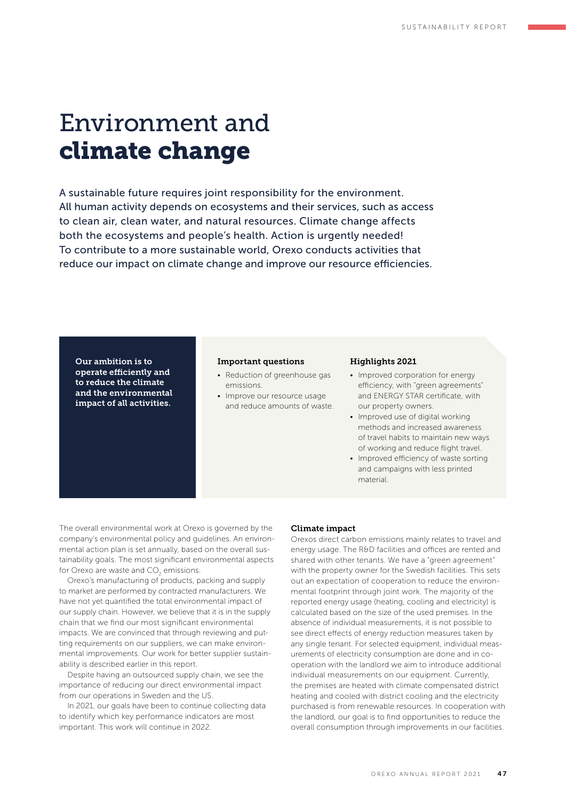## Environment and climate change

A sustainable future requires joint responsibility for the environment. All human activity depends on ecosystems and their services, such as access to clean air, clean water, and natural resources. Climate change affects both the ecosystems and people's health. Action is urgently needed! To contribute to a more sustainable world, Orexo conducts activities that reduce our impact on climate change and improve our resource efficiencies.

Our ambition is to operate efficiently and to reduce the climate and the environmental impact of all activities.

#### Important questions

- Reduction of greenhouse gas emissions.
- Improve our resource usage and reduce amounts of waste.

#### Highlights 2021

- Improved corporation for energy efficiency, with "green agreements" and ENERGY STAR certificate, with our property owners.
- Improved use of digital working methods and increased awareness of travel habits to maintain new ways of working and reduce flight travel.
- Improved efficiency of waste sorting and campaigns with less printed material.

The overall environmental work at Orexo is governed by the company's environmental policy and guidelines. An environmental action plan is set annually, based on the overall sustainability goals. The most significant environmental aspects for Orexo are waste and CO<sub>2</sub> emissions.

Orexo's manufacturing of products, packing and supply to market are performed by contracted manufacturers. We have not yet quantified the total environmental impact of our supply chain. However, we believe that it is in the supply chain that we find our most significant environmental impacts. We are convinced that through reviewing and putting requirements on our suppliers, we can make environmental improvements. Our work for better supplier sustainability is described earlier in this report.

Despite having an outsourced supply chain, we see the importance of reducing our direct environmental impact from our operations in Sweden and the US.

In 2021, our goals have been to continue collecting data to identify which key performance indicators are most important. This work will continue in 2022.

#### Climate impact

Orexos direct carbon emissions mainly relates to travel and energy usage. The R&D facilities and offices are rented and shared with other tenants. We have a "green agreement" with the property owner for the Swedish facilities. This sets out an expectation of cooperation to reduce the environmental footprint through joint work. The majority of the reported energy usage (heating, cooling and electricity) is calculated based on the size of the used premises. In the absence of individual measurements, it is not possible to see direct effects of energy reduction measures taken by any single tenant. For selected equipment, individual measurements of electricity consumption are done and in cooperation with the landlord we aim to introduce additional individual measurements on our equipment. Currently, the premises are heated with climate compensated district heating and cooled with district cooling and the electricity purchased is from renewable resources. In cooperation with the landlord, our goal is to find opportunities to reduce the overall consumption through improvements in our facilities.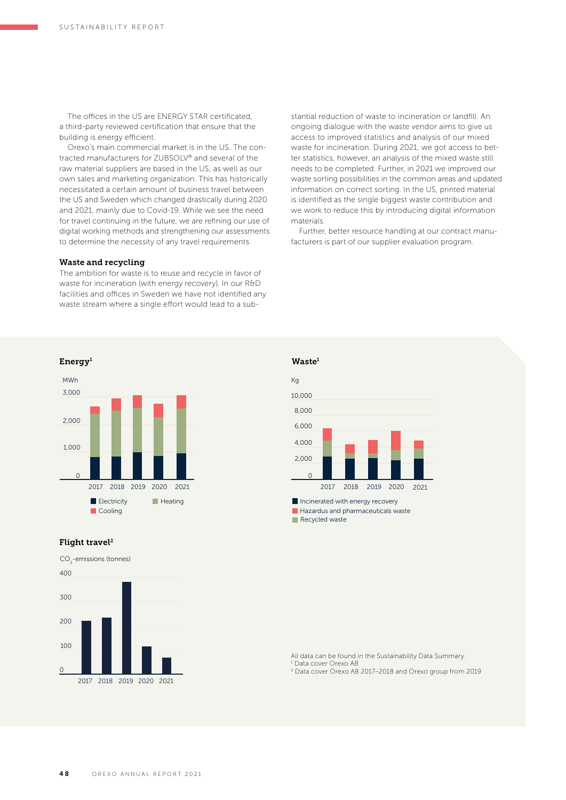The offices in the US are ENERGY STAR certificated. a third-party reviewed certification that ensure that the building is energy efficient.

Orexo's main commercial market is in the US. The contracted manufacturers for ZUBSOLV® and several of the raw material suppliers are based in the US, as well as our own sales and marketing organization. This has historically necessitated a certain amount of business travel between the US and Sweden which changed drastically during 2020 and 2021, mainly due to Covid-19. While we see the need for travel continuing in the future, we are refining our use of digital working methods and strengthening our assessments to determine the necessity of any travel requirements.

#### Waste and recycling

The ambition for waste is to reuse and recycle in favor of waste for incineration (with energy recovery). In our R&D facilities and offices in Sweden we have not identified any waste stream where a single effort would lead to a substantial reduction of waste to incineration or landfill. An ongoing dialogue with the waste vendor aims to give us access to improved statistics and analysis of our mixed waste for incineration. During 2021, we got access to better statistics, however, an analysis of the mixed waste still needs to be completed. Further, in 2021 we improved our waste sorting possibilities in the common areas and updated information on correct sorting. In the US, printed material is identified as the single biggest waste contribution and we work to reduce this by introducing digital information materials.

Further, better resource handling at our contract manufacturers is part of our supplier evaluation program.



### Flight travel<sup>2</sup>

CO<sub>2</sub>-emissions (tonnes)





Recycled waste

All data can be found in the Sustainability Data Summary. 1 Data cover Orexo AB

2 Data cover Orexo AB 2017–2018 and Orexo group from 2019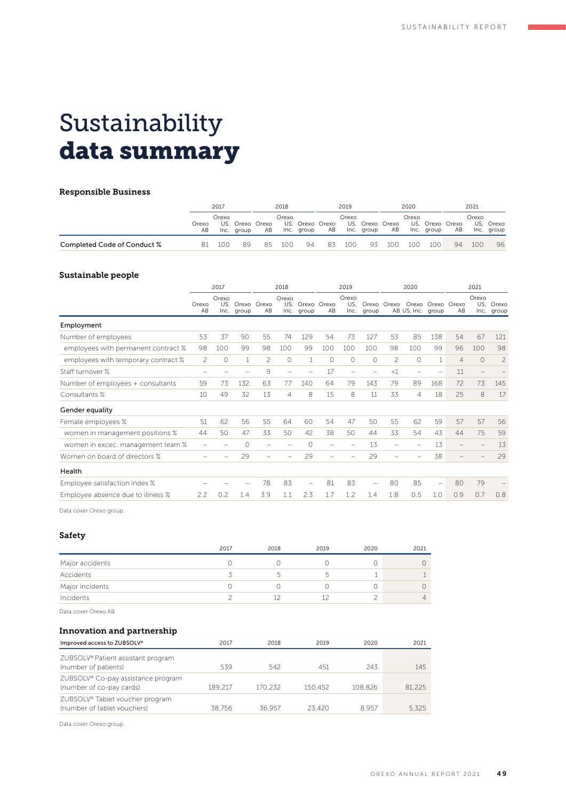## Sustainability data summary

#### Responsible Business

|                             | 2017        |       | 2018       |                       | 2019  |                               | 2020 |       | 2021                          |     |                          |            |    |       |                         |
|-----------------------------|-------------|-------|------------|-----------------------|-------|-------------------------------|------|-------|-------------------------------|-----|--------------------------|------------|----|-------|-------------------------|
|                             | Orexo<br>AB | Orexo | Inc. group | US. Orexo Orexo<br>AB | Orexo | US, Orexo Orexo<br>Inc. group | AB   | Orexo | US, Orexo Orexo<br>Inc. group | AB  | Orexo<br>US, Orexo Orexo | Inc. group | AB | Orexo | US, Orexo<br>Inc. group |
| Completed Code of Conduct % | R1          | 100   | 89         | 85                    | 100   | 94                            | -83  | 100   | 93                            | 100 | 100                      | 100        | 94 | 100   | 96                      |

#### Sustainable people

|                                     | 2017                     |              | 2018                      |     | 2019           |                               |         | 2020                 |                          |                | 2021              |                   |                |                          |                         |
|-------------------------------------|--------------------------|--------------|---------------------------|-----|----------------|-------------------------------|---------|----------------------|--------------------------|----------------|-------------------|-------------------|----------------|--------------------------|-------------------------|
|                                     | Orexo<br>AB              | Orexo<br>US. | Orexo Orexo<br>Inc. group | AB  | Orexo          | US. Orexo Orexo<br>Inc. group | AB      | Orexo<br>US.<br>Inc. | Orexo<br>group           | Orexo          | AB US, Inc. group | Orexo Orexo Orexo | AB             | Orexo                    | US. Orexo<br>Inc. group |
| Employment                          |                          |              |                           |     |                |                               |         |                      |                          |                |                   |                   |                |                          |                         |
| Number of employees                 | 53                       | 37           | 90                        | 55  | 74             | 129                           | 54      | 73                   | 127                      | 53             | 85                | 138               | 54             | 67                       | 121                     |
| employees with permanent contract % | 98                       | 100          | 99                        | 98  | 100            | 99                            | 100     | 100                  | 100                      | 98             | 100               | 99                | 96             | 100                      | 98                      |
| employees with temporary contract % | $\overline{c}$           | $\circ$      | 1                         | 2   | $\circ$        | $\mathbf{1}$                  | $\circ$ | $\circ$              | $\circ$                  | $\overline{c}$ | $\Omega$          | 1                 | $\overline{4}$ | $\circ$                  | $\overline{c}$          |
| Staff turnover %                    | $\overline{\phantom{m}}$ |              |                           | 9   | $\equiv$       |                               | 17      |                      | $\equiv$                 | <1             |                   |                   | 11             | $\overline{\phantom{0}}$ |                         |
| Number of employees + consultants   | 59                       | 73           | 132                       | 63  | 77             | 140                           | 64      | 79                   | 143                      | 79             | 89                | 168               | 72             | 73                       | 145                     |
| Consultants %                       | 10                       | 49           | 32                        | 13  | $\overline{4}$ | 8                             | 15      | 8                    | 11                       | 33             | 4                 | 18                | 25             | 8                        | 17                      |
| Gender equality                     |                          |              |                           |     |                |                               |         |                      |                          |                |                   |                   |                |                          |                         |
| Female employees %                  | 51                       | 62           | 56                        | 55  | 64             | 60                            | 54      | 47                   | 50                       | 55             | 62                | 59                | 57             | 57                       | 56                      |
| women in management positions %     | 44                       | 50           | 47                        | 33  | 50             | 42                            | 38      | 50                   | 44                       | 33             | 54                | 43                | 44             | 75                       | 59                      |
| women in excec. management team %   |                          |              | $\Omega$                  |     |                | $\bigcap$                     |         |                      | 13                       | -              |                   | 13                |                | $\qquad \qquad -$        | 13                      |
| Women on board of directors %       |                          |              | 29                        |     |                | 29                            |         |                      | 29                       | $\equiv$       |                   | 38                |                |                          | 29                      |
| Health                              |                          |              |                           |     |                |                               |         |                      |                          |                |                   |                   |                |                          |                         |
| Employee satisfaction index %       |                          |              |                           | 78  | 83             | $\overline{\phantom{0}}$      | 81      | 83                   | $\overline{\phantom{m}}$ | 80             | 85                | -                 | 80             | 79                       |                         |
| Employee absence due to illness %   | 2.2                      | 0.2          | 1.4                       | 3.9 | 1.1            | 2.3                           | 1.7     | 1.2                  | 1.4                      | 1.8            | 0.5               | 1.0               | 0.9            | 0.7                      | 0.8                     |
|                                     |                          |              |                           |     |                |                               |         |                      |                          |                |                   |                   |                |                          |                         |

Data cover Orexo group.

#### Safety

|                 | 2017 | 2018 | 2019 | 2020 | 2021 |
|-----------------|------|------|------|------|------|
| Major accidents |      |      |      |      |      |
| Accidents       |      |      |      |      |      |
| Major incidents |      |      |      |      |      |
| Incidents       |      |      |      |      | 4    |

Data cover Orexo AB.

### Innovation and partnership

| Improved access to ZUBSOLV®                                                | 2017    | 2018    | 2019    | 2020    | 2021   |
|----------------------------------------------------------------------------|---------|---------|---------|---------|--------|
| ZUBSOLV® Patient assistant program<br>(number of patients)                 | 539     | 542     | 451     | 243     | 145    |
| ZUBSOLV <sup>®</sup> Co-pay assistance program<br>(number of co-pay cards) | 189.217 | 170.232 | 150.452 | 108.826 | 81.225 |
| ZUBSOLV® Tablet voucher program<br>(number of tablet vouchers)             | 38.756  | 36.957  | 23.420  | 8.957   | 5.325  |

Data cover Orexo group.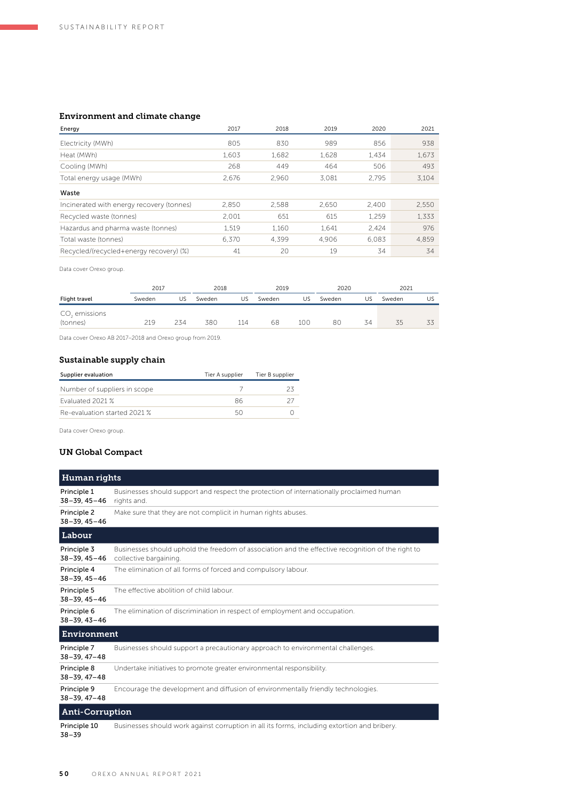### Environment and climate change

| Energy                                    | 2017  | 2018  | 2019  | 2020  | 2021  |
|-------------------------------------------|-------|-------|-------|-------|-------|
| Electricity (MWh)                         | 805   | 830   | 989   | 856   | 938   |
| Heat (MWh)                                | 1,603 | 1.682 | 1,628 | 1.434 | 1,673 |
| Cooling (MWh)                             | 268   | 449   | 464   | 506   | 493   |
| Total energy usage (MWh)                  | 2.676 | 2.960 | 3.081 | 2.795 | 3.104 |
| Waste                                     |       |       |       |       |       |
| Incinerated with energy recovery (tonnes) | 2.850 | 2.588 | 2.650 | 2.400 | 2,550 |
| Recycled waste (tonnes)                   | 2.001 | 651   | 615   | 1.259 | 1,333 |
| Hazardus and pharma waste (tonnes)        | 1,519 | 1.160 | 1.641 | 2.424 | 976   |
| Total waste (tonnes)                      | 6.370 | 4.399 | 4.906 | 6.083 | 4,859 |
| Recycled/(recycled+energy recovery) (%)   | 41    | 20    | 19    | 34    | 34    |

Data cover Orexo group.

|                                       | 2017   |     | 2018   |     | 2019   |     | 2020   |    | 2021   |    |
|---------------------------------------|--------|-----|--------|-----|--------|-----|--------|----|--------|----|
| Flight travel                         | Sweden | US. | Sweden | US  | Sweden | US  | Sweden | US | Sweden | US |
| CO <sub>2</sub> emissions<br>(tonnes) | 219    | 234 | 380    | 114 | 68     | 100 | 80     | 34 | 35     |    |

Data cover Orexo AB 2017–2018 and Orexo group from 2019.

### Sustainable supply chain

| Supplier evaluation          | Tier A supplier | Tier B supplier |
|------------------------------|-----------------|-----------------|
| Number of suppliers in scope |                 |                 |
| Fyaluated 2021 %             | 86              |                 |
| Re-evaluation started 2021 % |                 |                 |

Data cover Orexo group.

### UN Global Compact

| Human rights                      |                                                                                                                             |
|-----------------------------------|-----------------------------------------------------------------------------------------------------------------------------|
| Principle 1<br>$38 - 39.45 - 46$  | Businesses should support and respect the protection of internationally proclaimed human<br>rights and.                     |
| Principle 2<br>$38 - 39.45 - 46$  | Make sure that they are not complicit in human rights abuses.                                                               |
| Labour                            |                                                                                                                             |
| Principle 3<br>$38 - 39.45 - 46$  | Businesses should uphold the freedom of association and the effective recognition of the right to<br>collective bargaining. |
| Principle 4<br>$38 - 39, 45 - 46$ | The elimination of all forms of forced and compulsory labour.                                                               |
| Principle 5<br>$38 - 39, 45 - 46$ | The effective abolition of child labour.                                                                                    |
| Principle 6<br>$38 - 39, 43 - 46$ | The elimination of discrimination in respect of employment and occupation.                                                  |
| Environment                       |                                                                                                                             |
| Principle 7<br>$38 - 39.47 - 48$  | Businesses should support a precautionary approach to environmental challenges.                                             |
| Principle 8<br>$38 - 39.47 - 48$  | Undertake initiatives to promote greater environmental responsibility.                                                      |
| Principle 9<br>$38 - 39, 47 - 48$ | Encourage the development and diffusion of environmentally friendly technologies.                                           |
| <b>Anti-Corruption</b>            |                                                                                                                             |
| Principle 10                      | Businesses should work against corruption in all its forms, including extortion and bribery.                                |

38–39